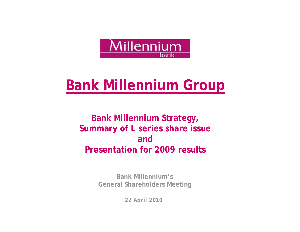

## **Bank Millennium Group**

**Bank Millennium Strategy, Summary of L series share issue and Presentation for 2009 results**

> **Bank Millennium's General Shareholders Meeting**

> > *22 April 2010*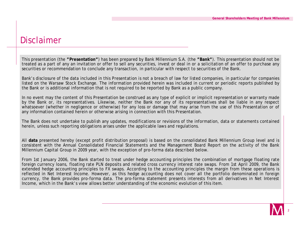#### Disclaimer

This presentation (the **"Presentation"**) has been prepared by Bank Millennium S.A. (the **"Bank"**). This presentation should not be treated as a part of any an invitation or offer to sell any securities, invest or deal in or a solicitation of an offer to purchase any securities or recommendation to conclude any transaction, in particular with respect to securities of the Bank.

Bank's disclosure of the data included in this Presentation is not a breach of law for listed companies, in particular for companies listed on the Warsaw Stock Exchange. The information provided herein was included in current or periodic reports published by the Bank or is additional information that is not required to be reported by Bank as a public company.

In no event may the content of this Presentation be construed as any type of explicit or implicit representation or warranty made by the Bank or, its representatives. Likewise, neither the Bank nor any of its representatives shall be liable in any respect whatsoever (whether in negligence or otherwise) for any loss or damage that may arise from the use of this Presentation or of any information contained herein or otherwise arising in connection with this Presentation.

The Bank does not undertake to publish any updates, modifications or revisions of the information, data or statements contained herein, unless such reporting obligations arises under the applicable laws and regulations.

All **data** presented hereby (except profit distribution proposal) is based on the consolidated Bank Millennium Group level and is consistent with the Annual Consolidated Financial Statements and the Management Board Report on the activity of the Bank Millennium Capital Group in 2009 year, with the exception of pro-forma data described below.

From 1st January 2006, the Bank started to treat under hedge accounting principles the combination of mortgage floating rate foreign currency loans, floating rate PLN deposits and related cross currency interest rate swaps. From 1st April 2009, the Bank extended hedge accounting principles to FX swaps. According to the accounting principles the margin from these operations is reflected in Net Interest Income. However, as this hedge accounting does not cover all the portfolio denominated in foreign currency, the Bank provides pro-forma data. The pro-forma statement presents interests from all derivatives in Net Interest Income, which in the Bank's view allows better understanding of the economic evolution of this item.

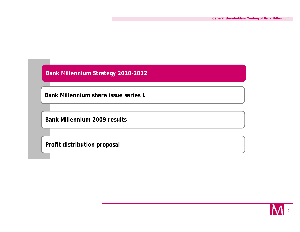**Bank Millennium share issue series L**

**Bank Millennium 2009 results**

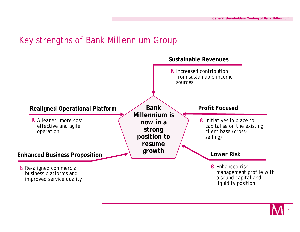#### Key strengths of Bank Millennium Group



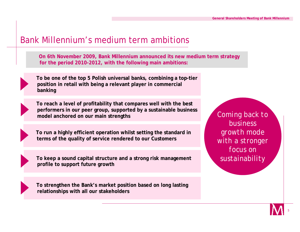#### Bank Millennium's medium term ambitions

**On 6th November 2009, Bank Millennium announced its new medium term strategy for the period 2010-2012, with the following main ambitions:**



**To be one of the top 5 Polish universal banks, combining a top-tier position in retail with being a relevant player in commercial banking**



**To reach a level of profitability that compares well with the best performers in our peer group, supported by a sustainable business model anchored on our main strengths** 



**To run a highly efficient operation whilst setting the standard in terms of the quality of service rendered to our Customers**

**To keep a sound capital structure and a strong risk management profile to support future growth**



**To strengthen the Bank's market position based on long lasting relationships with all our stakeholders**

*Coming back to business growth mode with a stronger focus on sustainability*

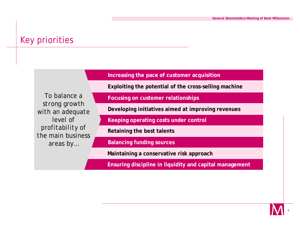### Key priorities

**Increasing the pace of customer acquisition**

**Exploiting the potential of the cross-selling machine**

*To balance a strong growth with an adequate level of profitability of the main business areas by…*

**Focusing on customer relationships**

**Developing initiatives aimed at improving revenues**

**Keeping operating costs under control**

**Retaining the best talents**

**Balancing funding sources**

**Maintaining a conservative risk approach**

**Ensuring discipline in liquidity and capital management**

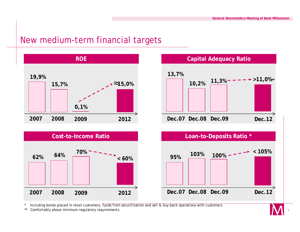#### New medium-term financial targets





Including bonds placed in retail customers, funds from securitization and sell & buy-back operations with customers

\*\* Comfortably above minimum regulatory requirements

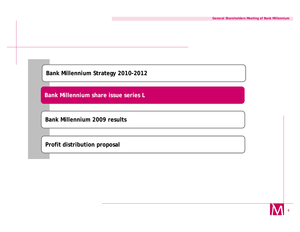**Bank Millennium share issue series L**

**Bank Millennium 2009 results**

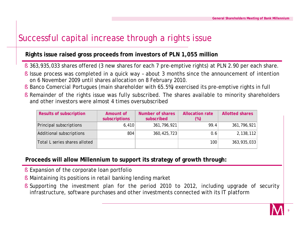## Successful capital increase through a rights issue

#### **Rights issue raised gross proceeds from investors of PLN 1,055 million**

- § 363,935,033 shares offered (3 new shares for each 7 pre-emptive rights) at PLN 2.90 per each share.
- § Issue process was completed in a quick way about 3 months since the announcement of intention on 6 November 2009 until shares allocation on 8 February 2010.
- § Banco Comercial Portugues (main shareholder with 65.5%) exercised its pre-emptive rights in full
- § Remainder of the rights issue was fully subscribed. The shares available to minority shareholders and other investors were almost 4 times oversubscribed

| <b>Results of subscription</b> | Amount of<br>subscriptions | Number of shares<br>subscribed | <b>Allocation rate</b><br>$(\%)$ | <b>Allotted shares</b> |
|--------------------------------|----------------------------|--------------------------------|----------------------------------|------------------------|
| Principal subscriptions        | 6,410                      | 361,796,921                    | 99.4                             | 361,796,921            |
| Additional subscriptions       | 804                        | 360, 425, 723                  | 0.6                              | 2,138,112              |
| Total L series shares alloted  |                            |                                | 100                              | 363,935,033            |

#### **Proceeds will allow Millennium to support its strategy of growth through:**

- § Expansion of the corporate loan portfolio
- § Maintaining its positions in retail banking lending market
- § Supporting the investment plan for the period 2010 to 2012, including upgrade of security infrastructure, software purchases and other investments connected with its IT platform

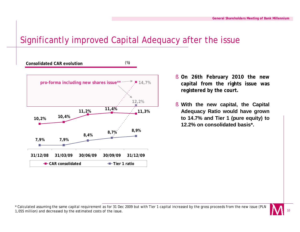#### Significantly improved Capital Adequacy after the issue



- § **On 26th February 2010 the new capital from the rights issue was registered by the court.**
- § **With the new capital, the Capital Adequacy Ratio would have grown to 14.7% and Tier 1 (pure equity) to 12.2% on consolidated basis\*.**

<sup>\*</sup> Calculated assuming the same capital requirement as for 31 Dec 2009 but with Tier 1 capital increased by the gross proceeds from the new issue (PLN 1,055 million) and decreased by the estimated costs of the issue.

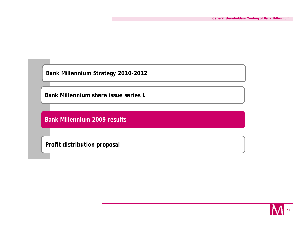**Bank Millennium share issue series L**

**Bank Millennium 2009 results**

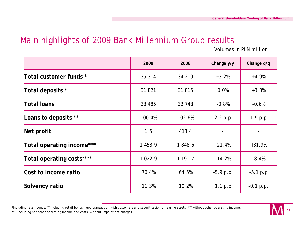#### Main highlights of 2009 Bank Millennium Group results

*Volumes in PLN million*

|                           | 2009        | 2008    | Change y/y               | Change q/q  |
|---------------------------|-------------|---------|--------------------------|-------------|
| Total customer funds *    | 35 314      | 34 219  | $+3.2%$                  | $+4.9%$     |
| Total deposits *          | 31 821      | 31 815  | 0.0%                     | $+3.8%$     |
| <b>Total loans</b>        | 33 485      | 33 748  | $-0.8%$                  | $-0.6%$     |
| Loans to deposits **      | 100.4%      | 102.6%  | $-2.2 p.p.$              | $-1.9 p.p.$ |
| Net profit                | 1.5         | 413.4   | $\overline{\phantom{a}}$ |             |
| Total operating income*** | 1 453.9     | 1848.6  | $-21.4%$                 | $+31.9%$    |
| Total operating costs**** | 1 0 2 2 . 9 | 1 191.7 | $-14.2%$                 | $-8.4%$     |
| Cost to income ratio      | 70.4%       | 64.5%   | $+5.9 p.p.$              | $-5.1 p.p$  |
| Solvency ratio            | 11.3%       | 10.2%   | $+1.1 p.p.$              | $-0.1 p.p.$ |

\*Including retail bonds. \*\* Including retail bonds, repo transaction with customers and securitisation of leasing assets. \*\*\* without other operating income. \*\*\*\* including net other operating income and costs, without impairment charges.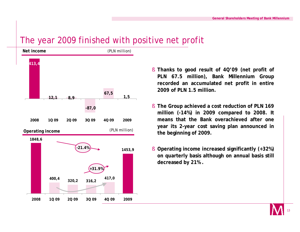#### The year 2009 finished with positive net profit



- § **Thanks to good result of 4Q'09 (net profit of PLN 67.5 million), Bank Millennium Group recorded an accumulated net profit in entire 2009 of PLN 1.5 million.**
- § **The Group achieved a cost reduction of PLN 169 million (-14%) in 2009 compared to 2008. It means that the Bank overachieved after one year its 2-year cost saving plan announced in the beginning of 2009.**
- § **Operating income increased significantly (+32%) on quarterly basis although on annual basis still decreased by 21% .**

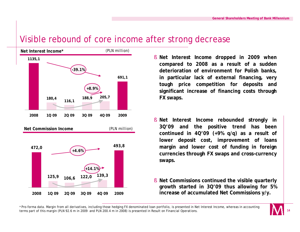#### Visible rebound of core income after strong decrease



- § **Net Interest Income dropped in 2009 when compared to 2008 as a result of a sudden deterioration of environment for Polish banks, in particular lack of external financing, very tough price competition for deposits and significant increase of financing costs through FX swaps.**
- § **Net Interest Income rebounded strongly in 3Q'09 and the positive trend has been continued in 4Q'09 (+9% q/q) as a result of lower deposit cost, improvement of loans margin and lower cost of funding in foreign currencies through FX swaps and cross-currency swaps.**
- § **Net Commissions continued the visible quarterly growth started in 3Q'09 thus allowing for 5% increase of accumulated Net Commissions y/y.**

\* Pro-forma data. Margin from all derivatives, including those hedging FX denominated loan portfolio, is presented in Net Interest Income, whereas in accounting terms part of this margin (PLN 92.6 m in 2009 and PLN 200.4 m in 2008) is presented in Result on Financial Operations.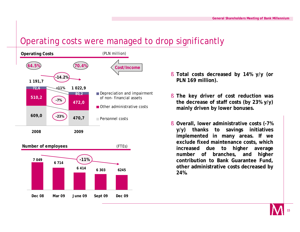#### Operating costs were managed to drop significantly





- § **Total costs decreased by 14% y/y (or PLN 169 million).**
- § **The key driver of cost reduction was the decrease of staff costs (by 23% y/y) mainly driven by lower bonuses.**
- § **Overall, lower administrative costs (-7% y/y) thanks to savings initiatives implemented in many areas. If we exclude fixed maintenance costs, which increased due to higher average number of branches, and higher contribution to Bank Guarantee Fund, other administrative costs decreased by 24%.**

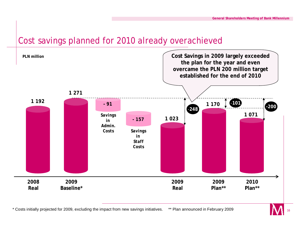#### Cost savings planned for 2010 already overachieved



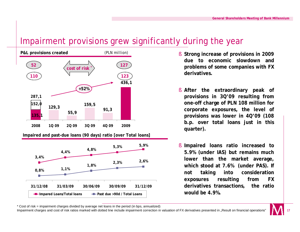#### Impairment provisions grew significantly during the year





- **due to economic slowdown and problems of some companies with FX derivatives.**
- § **After the extraordinary peak of provisions in 3Q'09 resulting from one-off charge of PLN 108 million for corporate exposures, the level of provisions was lower in 4Q'09 (108 b.p. over total loans just in this quarter).**
- § **Impaired loans ratio increased to 5.9% (under IAS) but remains much lower than the market average, which stood at 7.6% (under PAS). If not taking into consideration exposures resulting from FX derivatives transactions, the ratio would be 4.9%.**

\* Cost of risk = impairment charges divided by average net loans in the period (in bps, annualized)

Impairment charges and cost of risk ratios marked with dotted line include impairment correction in valuation of FX derivatives presented in "Result on financial operations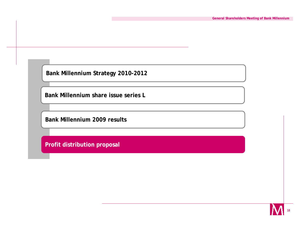**Bank Millennium share issue series L**

**Bank Millennium 2009 results**

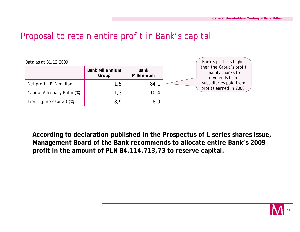#### Proposal to retain entire profit in Bank's capital

| Data as at 31.12.2009      |                                 |                           | Bank's profit is higher                                       |
|----------------------------|---------------------------------|---------------------------|---------------------------------------------------------------|
|                            | <b>Bank Millennium</b><br>Group | <b>Bank</b><br>Millennium | then the Group's profit<br>mainly thanks to<br>dividends from |
| Net profit (PLN million)   | 1,5                             | 84 <sup>°</sup>           | subsidiaries paid from                                        |
| Capital Adequacy Ratio (%) | 11,3                            | 10,4                      | profits earned in 2008.                                       |
| Tier 1 (pure capital) (%)  | 8,9                             | 8,0                       |                                                               |

**According to declaration published in the Prospectus of L series shares issue, Management Board of the Bank recommends to allocate entire Bank's 2009 profit in the amount of PLN 84.114.713,73 to reserve capital.**